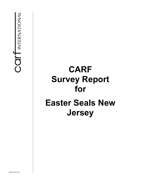# **CARF Survey Report for Easter Seals New Jersey**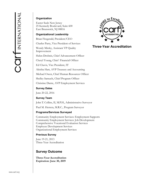#### **Organization**

Easter Seals New Jersey 25 Kennedy Boulevard, Suite 600 East Brunswick, NJ 08816

#### **Organizational Leadership**

Brian Fitzgerald, President/CEO

Charles Parry, Vice President of Services

Wendy Mirsky, Assistant VP Quality Improvement

Helen Drobnis, Chief Advancement Officer

Cheryl Young, Chief Financial Officer

Ed Chavis, Vice President, IT

Aleisha Hart, AVP Treasury and Accounting

Michael Owen, Chief Human Resources Officer

Shelley Samuels, Chief Program Officer

Christine Dante, AVP Employment Services

#### **Survey Dates**

June 20-22, 2016

**Survey Team** 

John T. Collins, II, M.P.H., Administrative Surveyor

Paul M. Herrera, M.R.C., Program Surveyor

#### **Programs/Services Surveyed**

Community Employment Services: Employment Supports Community Employment Services: Job Development Comprehensive Vocational Evaluation Services Employee Development Services Organizational Employment Services

#### **Previous Survey**

June 19-21, 2013 Three-Year Accreditation

### **Survey Outcome**

**Three-Year Accreditation Expiration: June 30, 2019** 



**Three-Year Accreditation**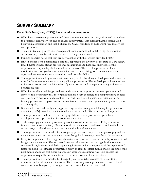## **SURVEY SUMMARY**

#### **Easter Seals New Jersey (ESNJ) has strengths in many areas.**

- ESNJ has an extremely passionate and deep commitment to its mission, vision, and core values; to providing quality services; and to quality improvement. It is evident that the organization believes in accreditation and that it utilizes the CARF standards to further improve its services and operations.
- The dedicated and professional management team is committed to delivering individualized services of high quality that meet the needs of the persons served.
- Funding agencies noted that they are very satisfied with the services provided by ESNJ.
- ESNJ benefits from a committed board that represents the diversity of the state of New Jersey. Board members have strong professional backgrounds and historical knowledge of the organization. They are highly dedicated to the mission. The board appears to fulfill its monitoring and policy-related responsibilities and to be a driving force in maintaining the organization's service delivery, operations, and overall stability.
- The organization is led by an energetic, receptive, and hardworking leadership team that sets the tone for future service delivery system quality improvements. The leadership continually strives to improve services and the life quality of persons served and to expand funding options and business practices.
- ESNJ has excellent policies, procedures, and systems to support its business operations and services. It is noteworthy that the organization has a very complete and comprehensive policies and procedures manual available online to all staff members. Its personnel orientation and training process and employment services outcomes measurement system are impressive and of excellent quality.
- It is notable that, as the only state-approved organization acting as a fiduciary for persons with disabilities, ESNJ provides fiscal intermediary services for 4,800 consumers in New Jersey.
- The organization is dedicated to encouraging staff members' professional growth and development and opportunities for continuous learning.
- Technology upgrades are in place to improve the overall effectiveness of ESNJ's business functions and service delivery. Organizational documentation is well tracked and available for easy access, and all written/printed documentation is well maintained.
- The organization is commended for its ongoing performance improvement philosophy and for maintaining outcomes measurement systems that guide its strategic growth and development.
- ESNJ is complimented for using a collaborative team process to conduct monthly organizational budget variance reviews. This successful process helps ensure that the organization operates successfully or, in the case of deficit spending, informs senior management of the organization's fiscal condition. The finance department's ability to close the fiscal month end by the fifth of the next month and to do soft closes on a weekly basis are also noteworthy. This enables the organization to quickly become informed of its cash flow and fiscal conditions.
- The organization is commended for the quality and comprehensiveness of its vocational evaluation and work adjustment services. These services provide persons served and referral sources with well-prepared, thorough reports that are relevant and functional.

CAL INTERNATIONAL